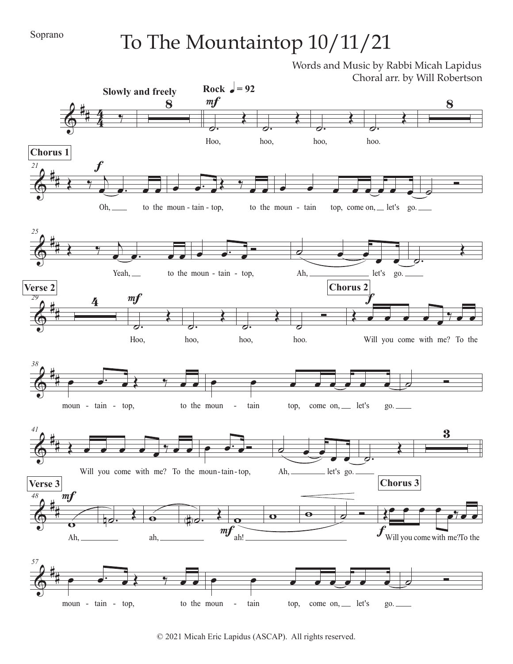## To The Mountaintop 10/11/21

Words and Music by Rabbi Micah Lapidus Choral arr. by Will Robertson